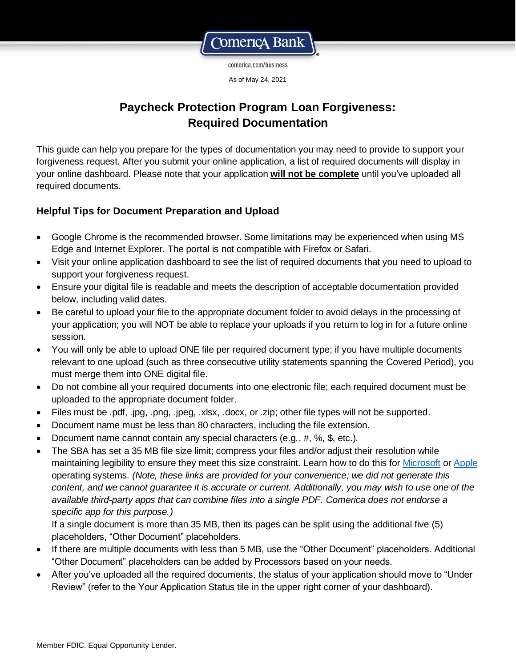

comerica.com/business

As of May 24, 2021

# **Paycheck Protection Program Loan Forgiveness: Required Documentation**

This guide can help you prepare for the types of documentation you may need to provide to support your forgiveness request. After you submit your online application, a list of required documents will display in your online dashboard. Please note that your application **will not be complete** until you've uploaded all required documents.

### **Helpful Tips for Document Preparation and Upload**

- Google Chrome is the recommended browser. Some limitations may be experienced when using MS Edge and Internet Explorer. The portal is not compatible with Firefox or Safari.
- Visit your online application dashboard to see the list of required documents that you need to upload to support your forgiveness request.
- Ensure your digital file is readable and meets the description of acceptable documentation provided below, including valid dates.
- Be careful to upload your file to the appropriate document folder to avoid delays in the processing of your application; you will NOT be able to replace your uploads if you return to log in for a future online session.
- You will only be able to upload ONE file per required document type; if you have multiple documents relevant to one upload (such as three consecutive utility statements spanning the Covered Period), you must merge them into ONE digital file.
- Do not combine all your required documents into one electronic file; each required document must be uploaded to the appropriate document folder.
- Files must be .pdf, .jpg, .png, .jpeg, .xlsx, .docx, or .zip; other file types will not be supported.
- Document name must be less than 80 characters, including the file extension.
- Document name cannot contain any special characters (e.g.,  $\#$ ,  $\%$ ,  $\#$ , etc.).
- The SBA has set a 35 MB file size limit; compress your files and/or adjust their resolution while maintaining legibility to ensure they meet this size constraint. Learn how to do this fo[r Microsoft](https://support.microsoft.com/en-us/help/14200/windows-compress-uncompress-zip-files) or [Apple](https://support.apple.com/guide/mac-help/compress-uncompress-files-folders-mac-mchlp2528/mac) operating systems. *(Note, these links are provided for your convenience; we did not generate this content, and we cannot guarantee it is accurate or current. Additionally, you may wish to use one of the available third-party apps that can combine files into a single PDF. Comerica does not endorse a specific app for this purpose.)*

If a single document is more than 35 MB, then its pages can be split using the additional five (5) placeholders, "Other Document" placeholders.

- If there are multiple documents with less than 5 MB, use the "Other Document" placeholders. Additional "Other Document" placeholders can be added by Processors based on your needs.
- After you've uploaded all the required documents, the status of your application should move to "Under Review" (refer to the Your Application Status tile in the upper right corner of your dashboard).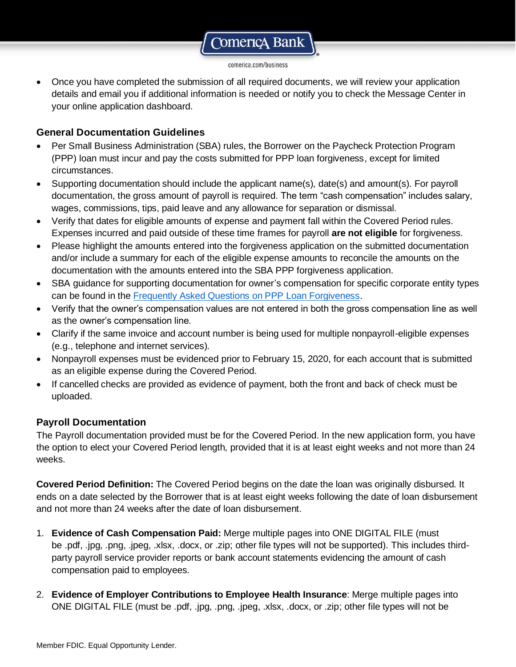comerica.com/business

• Once you have completed the submission of all required documents, we will review your application details and email you if additional information is needed or notify you to check the Message Center in your online application dashboard.

#### **General Documentation Guidelines**

- Per Small Business Administration (SBA) rules, the Borrower on the Paycheck Protection Program (PPP) loan must incur and pay the costs submitted for PPP loan forgiveness, except for limited circumstances.
- Supporting documentation should include the applicant name(s), date(s) and amount(s). For payroll documentation, the gross amount of payroll is required. The term "cash compensation" includes salary, wages, commissions, tips, paid leave and any allowance for separation or dismissal.
- Verify that dates for eligible amounts of expense and payment fall within the Covered Period rules. Expenses incurred and paid outside of these time frames for payroll **are not eligible** for forgiveness.
- Please highlight the amounts entered into the forgiveness application on the submitted documentation and/or include a summary for each of the eligible expense amounts to reconcile the amounts on the documentation with the amounts entered into the SBA PPP forgiveness application.
- SBA guidance for supporting documentation for owner's compensation for specific corporate entity types can be found in the [Frequently Asked Questions on PPP Loan Forgiveness.](https://home.treasury.gov/system/files/136/PPP--Loan-Forgiveness-FAQs.pdf)
- Verify that the owner's compensation values are not entered in both the gross compensation line as well as the owner's compensation line.
- Clarify if the same invoice and account number is being used for multiple nonpayroll-eligible expenses (e.g., telephone and internet services).
- Nonpayroll expenses must be evidenced prior to February 15, 2020, for each account that is submitted as an eligible expense during the Covered Period.
- If cancelled checks are provided as evidence of payment, both the front and back of check must be uploaded.

#### **Payroll Documentation**

The Payroll documentation provided must be for the Covered Period. In the new application form, you have the option to elect your Covered Period length, provided that it is at least eight weeks and not more than 24 weeks.

**Covered Period Definition:** The Covered Period begins on the date the loan was originally disbursed. It ends on a date selected by the Borrower that is at least eight weeks following the date of loan disbursement and not more than 24 weeks after the date of loan disbursement.

- 1. **Evidence of Cash Compensation Paid:** Merge multiple pages into ONE DIGITAL FILE (must be .pdf, .jpg, .png, .jpeg, .xlsx, .docx, or .zip; other file types will not be supported). This includes thirdparty payroll service provider reports or bank account statements evidencing the amount of cash compensation paid to employees.
- 2. **Evidence of Employer Contributions to Employee Health Insurance**: Merge multiple pages into ONE DIGITAL FILE (must be .pdf, .jpg, .png, .jpeg, .xlsx, .docx, or .zip; other file types will not be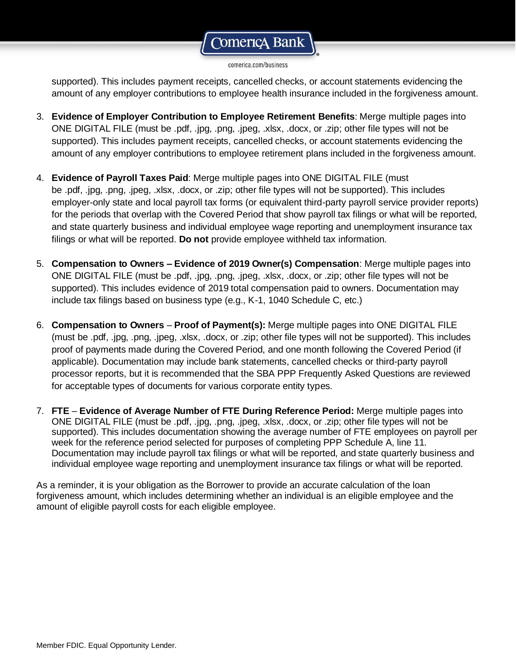#### comerica.com/business

supported). This includes payment receipts, cancelled checks, or account statements evidencing the amount of any employer contributions to employee health insurance included in the forgiveness amount.

- 3. **Evidence of Employer Contribution to Employee Retirement Benefits**: Merge multiple pages into ONE DIGITAL FILE (must be .pdf, .jpg, .png, .jpeg, .xlsx, .docx, or .zip; other file types will not be supported). This includes payment receipts, cancelled checks, or account statements evidencing the amount of any employer contributions to employee retirement plans included in the forgiveness amount.
- 4. **Evidence of Payroll Taxes Paid**: Merge multiple pages into ONE DIGITAL FILE (must be .pdf, .jpg, .png, .jpeg, .xlsx, .docx, or .zip; other file types will not be supported). This includes employer-only state and local payroll tax forms (or equivalent third-party payroll service provider reports) for the periods that overlap with the Covered Period that show payroll tax filings or what will be reported, and state quarterly business and individual employee wage reporting and unemployment insurance tax filings or what will be reported. **Do not** provide employee withheld tax information.
- 5. **Compensation to Owners – Evidence of 2019 Owner(s) Compensation**: Merge multiple pages into ONE DIGITAL FILE (must be .pdf, .jpg, .png, .jpeg, .xlsx, .docx, or .zip; other file types will not be supported). This includes evidence of 2019 total compensation paid to owners. Documentation may include tax filings based on business type (e.g., K-1, 1040 Schedule C, etc.)
- 6. **Compensation to Owners Proof of Payment(s):** Merge multiple pages into ONE DIGITAL FILE (must be .pdf, .jpg, .png, .jpeg, .xlsx, .docx, or .zip; other file types will not be supported). This includes proof of payments made during the Covered Period, and one month following the Covered Period (if applicable). Documentation may include bank statements, cancelled checks or third-party payroll processor reports, but it is recommended that the SBA PPP Frequently Asked Questions are reviewed for acceptable types of documents for various corporate entity types.
- 7. **FTE Evidence of Average Number of FTE During Reference Period:** Merge multiple pages into ONE DIGITAL FILE (must be .pdf, .jpg, .png, .jpeg, .xlsx, .docx, or .zip; other file types will not be supported). This includes documentation showing the average number of FTE employees on payroll per week for the reference period selected for purposes of completing PPP Schedule A, line 11. Documentation may include payroll tax filings or what will be reported, and state quarterly business and individual employee wage reporting and unemployment insurance tax filings or what will be reported.

As a reminder, it is your obligation as the Borrower to provide an accurate calculation of the loan forgiveness amount, which includes determining whether an individual is an eligible employee and the amount of eligible payroll costs for each eligible employee.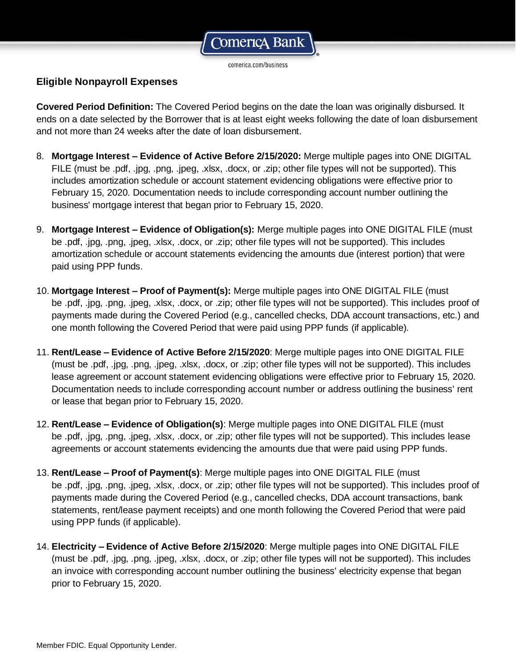

### **Eligible Nonpayroll Expenses**

**Covered Period Definition:** The Covered Period begins on the date the loan was originally disbursed. It ends on a date selected by the Borrower that is at least eight weeks following the date of loan disbursement and not more than 24 weeks after the date of loan disbursement.

- 8. **Mortgage Interest – Evidence of Active Before 2/15/2020:** Merge multiple pages into ONE DIGITAL FILE (must be .pdf, .jpg, .png, .jpeg, .xlsx, .docx, or .zip; other file types will not be supported). This includes amortization schedule or account statement evidencing obligations were effective prior to February 15, 2020. Documentation needs to include corresponding account number outlining the business' mortgage interest that began prior to February 15, 2020.
- 9. **Mortgage Interest – Evidence of Obligation(s):** Merge multiple pages into ONE DIGITAL FILE (must be .pdf, .jpg, .png, .jpeg, .xlsx, .docx, or .zip; other file types will not be supported). This includes amortization schedule or account statements evidencing the amounts due (interest portion) that were paid using PPP funds.
- 10. **Mortgage Interest – Proof of Payment(s):** Merge multiple pages into ONE DIGITAL FILE (must be .pdf, .jpg, .png, .jpeg, .xlsx, .docx, or .zip; other file types will not be supported). This includes proof of payments made during the Covered Period (e.g., cancelled checks, DDA account transactions, etc.) and one month following the Covered Period that were paid using PPP funds (if applicable).
- 11. **Rent/Lease – Evidence of Active Before 2/15/2020**: Merge multiple pages into ONE DIGITAL FILE (must be .pdf, .jpg, .png, .jpeg, .xlsx, .docx, or .zip; other file types will not be supported). This includes lease agreement or account statement evidencing obligations were effective prior to February 15, 2020. Documentation needs to include corresponding account number or address outlining the business' rent or lease that began prior to February 15, 2020.
- 12. **Rent/Lease – Evidence of Obligation(s)**: Merge multiple pages into ONE DIGITAL FILE (must be .pdf, .jpg, .png, .jpeg, .xlsx, .docx, or .zip; other file types will not be supported). This includes lease agreements or account statements evidencing the amounts due that were paid using PPP funds.
- 13. **Rent/Lease – Proof of Payment(s)**: Merge multiple pages into ONE DIGITAL FILE (must be .pdf, .jpg, .png, .jpeg, .xlsx, .docx, or .zip; other file types will not be supported). This includes proof of payments made during the Covered Period (e.g., cancelled checks, DDA account transactions, bank statements, rent/lease payment receipts) and one month following the Covered Period that were paid using PPP funds (if applicable).
- 14. **Electricity – Evidence of Active Before 2/15/2020**: Merge multiple pages into ONE DIGITAL FILE (must be .pdf, .jpg, .png, .jpeg, .xlsx, .docx, or .zip; other file types will not be supported). This includes an invoice with corresponding account number outlining the business' electricity expense that began prior to February 15, 2020.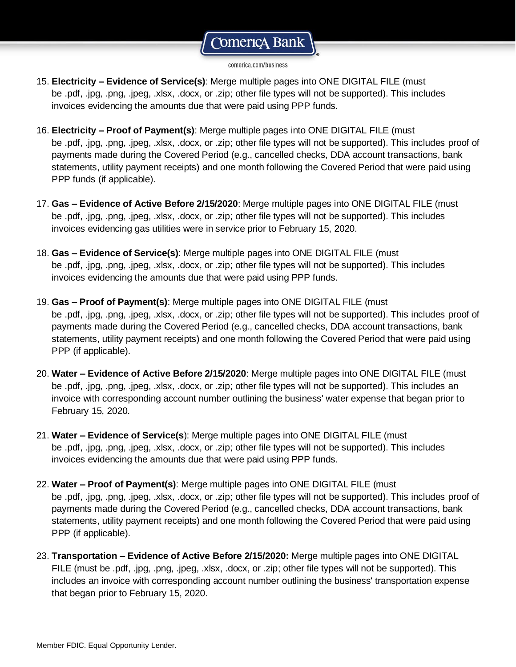comerica.com/business

- 15. **Electricity – Evidence of Service(s)**: Merge multiple pages into ONE DIGITAL FILE (must be .pdf, .jpg, .png, .jpeg, .xlsx, .docx, or .zip; other file types will not be supported). This includes invoices evidencing the amounts due that were paid using PPP funds.
- 16. **Electricity – Proof of Payment(s)**: Merge multiple pages into ONE DIGITAL FILE (must be .pdf, .jpg, .png, .jpeg, .xlsx, .docx, or .zip; other file types will not be supported). This includes proof of payments made during the Covered Period (e.g., cancelled checks, DDA account transactions, bank statements, utility payment receipts) and one month following the Covered Period that were paid using PPP funds (if applicable).
- 17. **Gas – Evidence of Active Before 2/15/2020**: Merge multiple pages into ONE DIGITAL FILE (must be .pdf, .jpg, .png, .jpeg, .xlsx, .docx, or .zip; other file types will not be supported). This includes invoices evidencing gas utilities were in service prior to February 15, 2020.
- 18. **Gas – Evidence of Service(s)**: Merge multiple pages into ONE DIGITAL FILE (must be .pdf, .jpg, .png, .jpeg, .xlsx, .docx, or .zip; other file types will not be supported). This includes invoices evidencing the amounts due that were paid using PPP funds.
- 19. **Gas – Proof of Payment(s)**: Merge multiple pages into ONE DIGITAL FILE (must be .pdf, .jpg, .png, .jpeg, .xlsx, .docx, or .zip; other file types will not be supported). This includes proof of payments made during the Covered Period (e.g., cancelled checks, DDA account transactions, bank statements, utility payment receipts) and one month following the Covered Period that were paid using PPP (if applicable).
- 20. **Water – Evidence of Active Before 2/15/2020**: Merge multiple pages into ONE DIGITAL FILE (must be .pdf, .jpg, .png, .jpeg, .xlsx, .docx, or .zip; other file types will not be supported). This includes an invoice with corresponding account number outlining the business' water expense that began prior to February 15, 2020.
- 21. **Water – Evidence of Service(s**): Merge multiple pages into ONE DIGITAL FILE (must be .pdf, .jpg, .png, .jpeg, .xlsx, .docx, or .zip; other file types will not be supported). This includes invoices evidencing the amounts due that were paid using PPP funds.
- 22. **Water – Proof of Payment(s)**: Merge multiple pages into ONE DIGITAL FILE (must be .pdf, .jpg, .png, .jpeg, .xlsx, .docx, or .zip; other file types will not be supported). This includes proof of payments made during the Covered Period (e.g., cancelled checks, DDA account transactions, bank statements, utility payment receipts) and one month following the Covered Period that were paid using PPP (if applicable).
- 23. **Transportation – Evidence of Active Before 2/15/2020:** Merge multiple pages into ONE DIGITAL FILE (must be .pdf, .jpg, .png, .jpeg, .xlsx, .docx, or .zip; other file types will not be supported). This includes an invoice with corresponding account number outlining the business' transportation expense that began prior to February 15, 2020.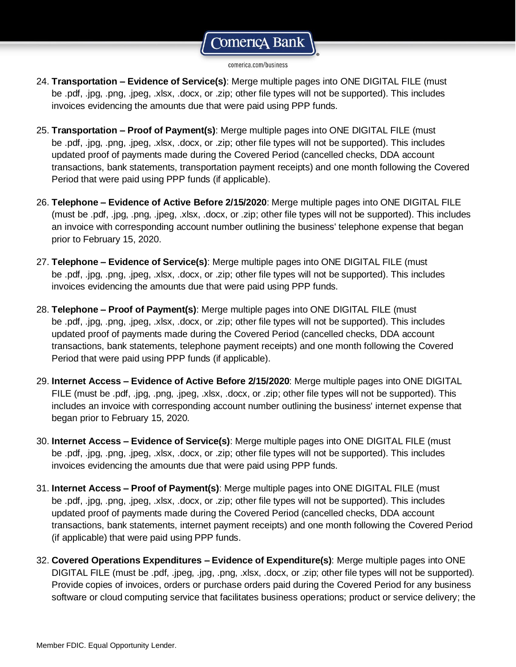comerica.com/business

- 24. **Transportation – Evidence of Service(s)**: Merge multiple pages into ONE DIGITAL FILE (must be .pdf, .jpg, .png, .jpeg, .xlsx, .docx, or .zip; other file types will not be supported). This includes invoices evidencing the amounts due that were paid using PPP funds.
- 25. **Transportation – Proof of Payment(s)**: Merge multiple pages into ONE DIGITAL FILE (must be .pdf, .jpg, .png, .jpeg, .xlsx, .docx, or .zip; other file types will not be supported). This includes updated proof of payments made during the Covered Period (cancelled checks, DDA account transactions, bank statements, transportation payment receipts) and one month following the Covered Period that were paid using PPP funds (if applicable).
- 26. **Telephone – Evidence of Active Before 2/15/2020**: Merge multiple pages into ONE DIGITAL FILE (must be .pdf, .jpg, .png, .jpeg, .xlsx, .docx, or .zip; other file types will not be supported). This includes an invoice with corresponding account number outlining the business' telephone expense that began prior to February 15, 2020.
- 27. **Telephone – Evidence of Service(s)**: Merge multiple pages into ONE DIGITAL FILE (must be .pdf, .jpg, .png, .jpeg, .xlsx, .docx, or .zip; other file types will not be supported). This includes invoices evidencing the amounts due that were paid using PPP funds.
- 28. **Telephone – Proof of Payment(s)**: Merge multiple pages into ONE DIGITAL FILE (must be .pdf, .jpg, .png, .jpeg, .xlsx, .docx, or .zip; other file types will not be supported). This includes updated proof of payments made during the Covered Period (cancelled checks, DDA account transactions, bank statements, telephone payment receipts) and one month following the Covered Period that were paid using PPP funds (if applicable).
- 29. **Internet Access – Evidence of Active Before 2/15/2020**: Merge multiple pages into ONE DIGITAL FILE (must be .pdf, .jpg, .png, .jpeg, .xlsx, .docx, or .zip; other file types will not be supported). This includes an invoice with corresponding account number outlining the business' internet expense that began prior to February 15, 2020.
- 30. **Internet Access – Evidence of Service(s)**: Merge multiple pages into ONE DIGITAL FILE (must be .pdf, .jpg, .png, .jpeg, .xlsx, .docx, or .zip; other file types will not be supported). This includes invoices evidencing the amounts due that were paid using PPP funds.
- 31. **Internet Access – Proof of Payment(s)**: Merge multiple pages into ONE DIGITAL FILE (must be .pdf, .jpg, .png, .jpeg, .xlsx, .docx, or .zip; other file types will not be supported). This includes updated proof of payments made during the Covered Period (cancelled checks, DDA account transactions, bank statements, internet payment receipts) and one month following the Covered Period (if applicable) that were paid using PPP funds.
- 32. **Covered Operations Expenditures – Evidence of Expenditure(s)**: Merge multiple pages into ONE DIGITAL FILE (must be .pdf, .jpeg, .jpg, .png, .xlsx, .docx, or .zip; other file types will not be supported). Provide copies of invoices, orders or purchase orders paid during the Covered Period for any business software or cloud computing service that facilitates business operations; product or service delivery; the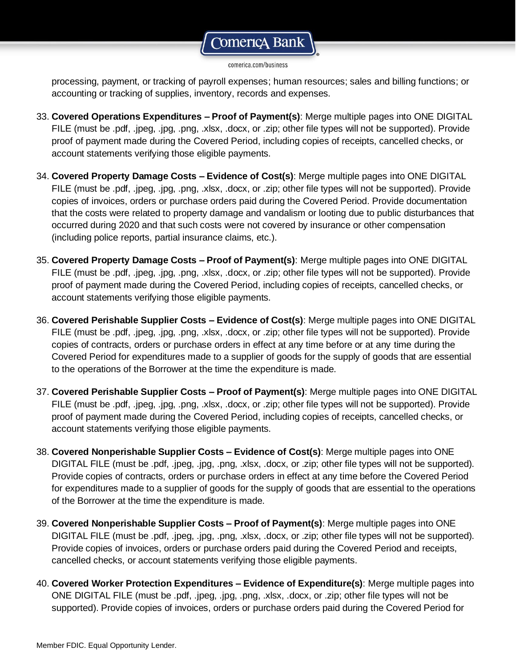#### comerica.com/business

processing, payment, or tracking of payroll expenses; human resources; sales and billing functions; or accounting or tracking of supplies, inventory, records and expenses.

- 33. **Covered Operations Expenditures – Proof of Payment(s)**: Merge multiple pages into ONE DIGITAL FILE (must be .pdf, .jpeg, .jpg, .png, .xlsx, .docx, or .zip; other file types will not be supported). Provide proof of payment made during the Covered Period, including copies of receipts, cancelled checks, or account statements verifying those eligible payments.
- 34. **Covered Property Damage Costs – Evidence of Cost(s)**: Merge multiple pages into ONE DIGITAL FILE (must be .pdf, .jpeg, .jpg, .png, .xlsx, .docx, or .zip; other file types will not be supported). Provide copies of invoices, orders or purchase orders paid during the Covered Period. Provide documentation that the costs were related to property damage and vandalism or looting due to public disturbances that occurred during 2020 and that such costs were not covered by insurance or other compensation (including police reports, partial insurance claims, etc.).
- 35. **Covered Property Damage Costs – Proof of Payment(s)**: Merge multiple pages into ONE DIGITAL FILE (must be .pdf, .jpeg, .jpg, .png, .xlsx, .docx, or .zip; other file types will not be supported). Provide proof of payment made during the Covered Period, including copies of receipts, cancelled checks, or account statements verifying those eligible payments.
- 36. **Covered Perishable Supplier Costs – Evidence of Cost(s)**: Merge multiple pages into ONE DIGITAL FILE (must be .pdf, .jpeg, .jpg, .png, .xlsx, .docx, or .zip; other file types will not be supported). Provide copies of contracts, orders or purchase orders in effect at any time before or at any time during the Covered Period for expenditures made to a supplier of goods for the supply of goods that are essential to the operations of the Borrower at the time the expenditure is made.
- 37. **Covered Perishable Supplier Costs – Proof of Payment(s)**: Merge multiple pages into ONE DIGITAL FILE (must be .pdf, .jpeg, .jpg, .png, .xlsx, .docx, or .zip; other file types will not be supported). Provide proof of payment made during the Covered Period, including copies of receipts, cancelled checks, or account statements verifying those eligible payments.
- 38. **Covered Nonperishable Supplier Costs – Evidence of Cost(s)**: Merge multiple pages into ONE DIGITAL FILE (must be .pdf, .jpeg, .jpg, .png, .xlsx, .docx, or .zip; other file types will not be supported). Provide copies of contracts, orders or purchase orders in effect at any time before the Covered Period for expenditures made to a supplier of goods for the supply of goods that are essential to the operations of the Borrower at the time the expenditure is made.
- 39. **Covered Nonperishable Supplier Costs – Proof of Payment(s)**: Merge multiple pages into ONE DIGITAL FILE (must be .pdf, .jpeg, .jpg, .png, .xlsx, .docx, or .zip; other file types will not be supported). Provide copies of invoices, orders or purchase orders paid during the Covered Period and receipts, cancelled checks, or account statements verifying those eligible payments.
- 40. **Covered Worker Protection Expenditures – Evidence of Expenditure(s)**: Merge multiple pages into ONE DIGITAL FILE (must be .pdf, .jpeg, .jpg, .png, .xlsx, .docx, or .zip; other file types will not be supported). Provide copies of invoices, orders or purchase orders paid during the Covered Period for